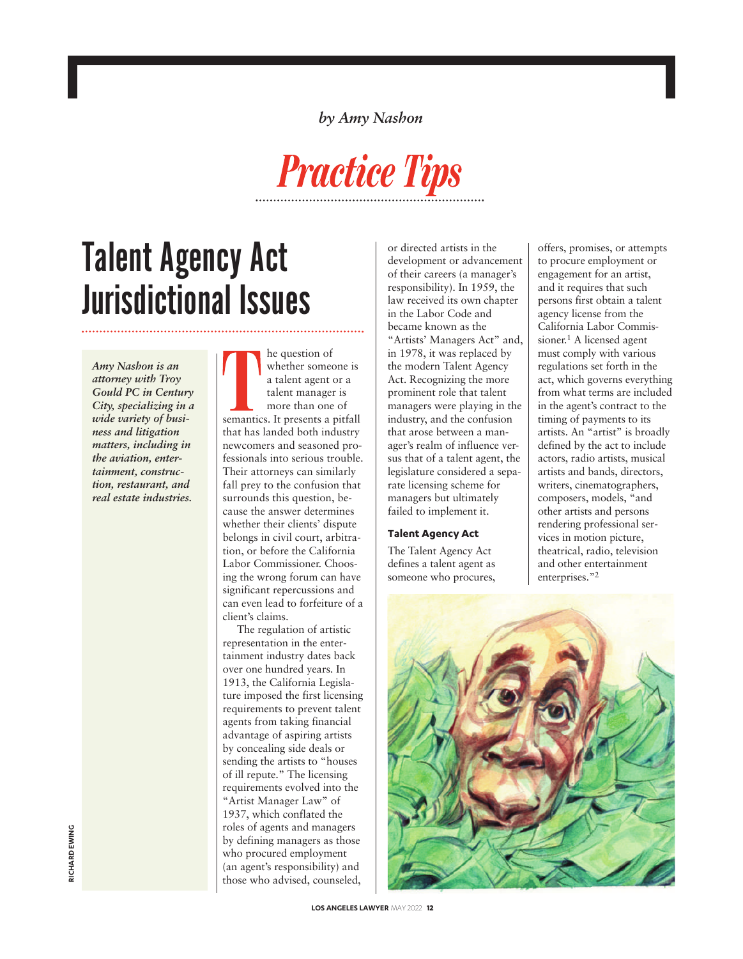*by Amy Nashon*



# Talent Agency Act Jurisdictional Issues

*Amy Nashon is an attorney with Troy Gould PC in Century City, specializing in a wide variety of business and litigation matters, including in the aviation, entertainment, construction, restaurant, and real estate industries.*

he question of whether someone is a talent agent or a talent manager is more than one of semantics. It presents a pitfall that has landed both industry newcomers and seasoned professionals into serious trouble. Their attorneys can similarly fall prey to the confusion that surrounds this question, because the answer determines whether their clients' dispute belongs in civil court, arbitration, or before the California Labor Commissioner. Choosing the wrong forum can have significant repercussions and can even lead to forfeiture of a client's claims.

The regulation of artistic representation in the entertainment industry dates back over one hundred years. In 1913, the California Legislature imposed the first licensing requirements to prevent talent agents from taking financial advantage of aspiring artists by concealing side deals or sending the artists to "houses of ill repute." The licensing requirements evolved into the "Artist Manager Law" of 1937, which conflated the roles of agents and managers by defining managers as those who procured employment (an agent's responsibility) and those who advised, counseled,

or directed artists in the development or advancement of their careers (a manager's responsibility). In 1959, the law received its own chapter in the Labor Code and became known as the "Artists' Managers Act" and, in 1978, it was replaced by the modern Talent Agency Act. Recognizing the more prominent role that talent managers were playing in the industry, and the confusion that arose between a manager's realm of influence versus that of a talent agent, the legislature considered a separate licensing scheme for managers but ultimately failed to implement it.

#### **Talent Agency Act**

The Talent Agency Act defines a talent agent as someone who procures,

offers, promises, or attempts to procure employment or engagement for an artist, and it requires that such persons first obtain a talent agency license from the California Labor Commissioner. <sup>1</sup> A licensed agent must comply with various regulations set forth in the act, which governs everything from what terms are included in the agent's contract to the timing of payments to its artists. An "artist" is broadly defined by the act to include actors, radio artists, musical artists and bands, directors, writers, cinematographers, composers, models, "and other artists and persons rendering professional services in motion picture, theatrical, radio, television and other entertainment enterprises."2

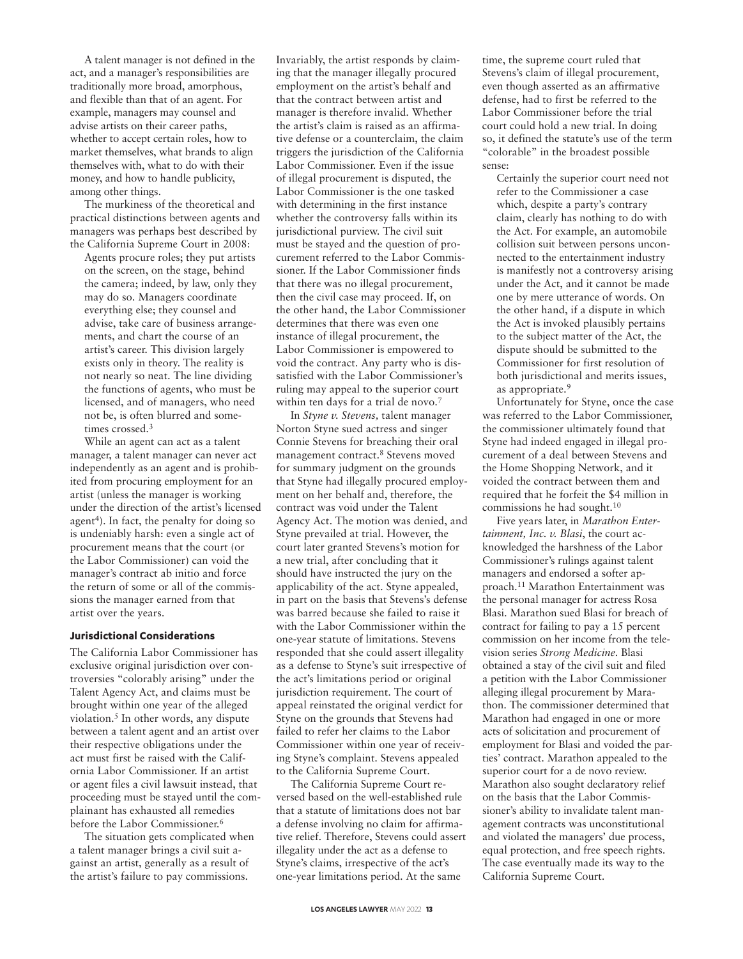A talent manager is not defined in the act, and a manager's responsibilities are traditionally more broad, amorphous, and flexible than that of an agent. For example, managers may counsel and advise artists on their career paths, whether to accept certain roles, how to market themselves, what brands to align themselves with, what to do with their money, and how to handle publicity, among other things.

The murkiness of the theoretical and practical distinctions between agents and managers was perhaps best described by the California Supreme Court in 2008:

Agents procure roles; they put artists on the screen, on the stage, behind the camera; indeed, by law, only they may do so. Managers coordinate everything else; they counsel and advise, take care of business arrangements, and chart the course of an artist's career. This division largely exists only in theory. The reality is not nearly so neat. The line dividing the functions of agents, who must be licensed, and of managers, who need not be, is often blurred and sometimes crossed. 3

While an agent can act as a talent manager, a talent manager can never act independently as an agent and is prohibited from procuring employment for an artist (unless the manager is working under the direction of the artist's licensed agent<sup>4</sup>). In fact, the penalty for doing so is undeniably harsh: even a single act of procurement means that the court (or the Labor Commissioner) can void the manager's contract ab initio and force the return of some or all of the commissions the manager earned from that artist over the years.

#### **Jurisdictional Considerations**

The California Labor Commissioner has exclusive original jurisdiction over controversies "colorably arising" under the Talent Agency Act, and claims must be brought within one year of the alleged violation. <sup>5</sup> In other words, any dispute between a talent agent and an artist over their respective obligations under the act must first be raised with the California Labor Commissioner. If an artist or agent files a civil lawsuit instead, that proceeding must be stayed until the complainant has exhausted all remedies before the Labor Commissioner. 6

The situation gets complicated when a talent manager brings a civil suit against an artist, generally as a result of the artist's failure to pay commissions.

Invariably, the artist responds by claiming that the manager illegally procured employment on the artist's behalf and that the contract between artist and manager is therefore invalid. Whether the artist's claim is raised as an affirmative defense or a counterclaim, the claim triggers the jurisdiction of the California Labor Commissioner. Even if the issue of illegal procurement is disputed, the Labor Commissioner is the one tasked with determining in the first instance whether the controversy falls within its jurisdictional purview. The civil suit must be stayed and the question of procurement referred to the Labor Commissioner. If the Labor Commissioner finds that there was no illegal procurement, then the civil case may proceed. If, on the other hand, the Labor Commissioner determines that there was even one instance of illegal procurement, the Labor Commissioner is empowered to void the contract. Any party who is dissatisfied with the Labor Commissioner's ruling may appeal to the superior court within ten days for a trial de novo. 7

In *Styne v. Stevens,* talent manager Norton Styne sued actress and singer Connie Stevens for breaching their oral management contract. <sup>8</sup> Stevens moved for summary judgment on the grounds that Styne had illegally procured employment on her behalf and, therefore, the contract was void under the Talent Agency Act. The motion was denied, and Styne prevailed at trial. However, the court later granted Stevens's motion for a new trial, after concluding that it should have instructed the jury on the applicability of the act. Styne appealed, in part on the basis that Stevens's defense was barred because she failed to raise it with the Labor Commissioner within the one-year statute of limitations. Stevens responded that she could assert illegality as a defense to Styne's suit irrespective of the act's limitations period or original jurisdiction requirement. The court of appeal reinstated the original verdict for Styne on the grounds that Stevens had failed to refer her claims to the Labor Commissioner within one year of receiving Styne's complaint. Stevens appealed to the California Supreme Court.

The California Supreme Court reversed based on the well-established rule that a statute of limitations does not bar a defense involving no claim for affirmative relief. Therefore, Stevens could assert illegality under the act as a defense to Styne's claims, irrespective of the act's one-year limitations period. At the same

time, the supreme court ruled that Stevens's claim of illegal procurement, even though asserted as an affirmative defense, had to first be referred to the Labor Commissioner before the trial court could hold a new trial. In doing so, it defined the statute's use of the term "colorable" in the broadest possible sense:

Certainly the superior court need not refer to the Commissioner a case which, despite a party's contrary claim, clearly has nothing to do with the Act. For example, an automobile collision suit between persons unconnected to the entertainment industry is manifestly not a controversy arising under the Act, and it cannot be made one by mere utterance of words. On the other hand, if a dispute in which the Act is invoked plausibly pertains to the subject matter of the Act, the dispute should be submitted to the Commissioner for first resolution of both jurisdictional and merits issues, as appropriate.9

Unfortunately for Styne, once the case was referred to the Labor Commissioner, the commissioner ultimately found that Styne had indeed engaged in illegal procurement of a deal between Stevens and the Home Shopping Network, and it voided the contract between them and required that he forfeit the \$4 million in commissions he had sought. 10

Five years later, in *Marathon Entertainment, Inc. v. Blasi*, the court acknowledged the harshness of the Labor Commissioner's rulings against talent managers and endorsed a softer approach. <sup>11</sup> Marathon Entertainment was the personal manager for actress Rosa Blasi. Marathon sued Blasi for breach of contract for failing to pay a 15 percent commission on her income from the television series *Strong Medicine.* Blasi obtained a stay of the civil suit and filed a petition with the Labor Commissioner alleging illegal procurement by Marathon. The commissioner determined that Marathon had engaged in one or more acts of solicitation and procurement of employment for Blasi and voided the parties' contract. Marathon appealed to the superior court for a de novo review. Marathon also sought declaratory relief on the basis that the Labor Commissioner's ability to invalidate talent management contracts was unconstitutional and violated the managers' due process, equal protection, and free speech rights. The case eventually made its way to the California Supreme Court.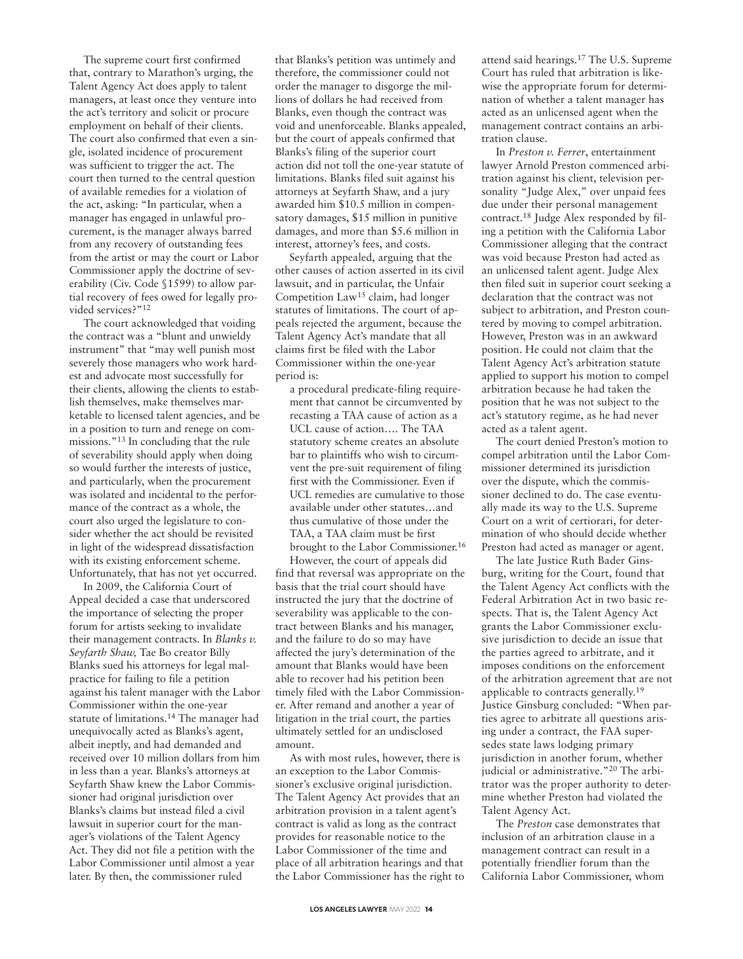The supreme court first confirmed that, contrary to Marathon's urging, the Talent Agency Act does apply to talent managers, at least once they venture into the act's territory and solicit or procure employment on behalf of their clients. The court also confirmed that even a single, isolated incidence of procurement was sufficient to trigger the act. The court then turned to the central question of available remedies for a violation of the act, asking: "In particular, when a manager has engaged in unlawful procurement, is the manager always barred from any recovery of outstanding fees from the artist or may the court or Labor Commissioner apply the doctrine of severability (Civ. Code §1599) to allow partial recovery of fees owed for legally provided services?"<sup>12</sup>

The court acknowledged that voiding the contract was a "blunt and unwieldy instrument" that "may well punish most severely those managers who work hardest and advocate most successfully for their clients, allowing the clients to establish themselves, make themselves marketable to licensed talent agencies, and be in a position to turn and renege on commissions."13 In concluding that the rule of severability should apply when doing so would further the interests of justice, and particularly, when the procurement was isolated and incidental to the performance of the contract as a whole, the court also urged the legislature to consider whether the act should be revisited in light of the widespread dissatisfaction with its existing enforcement scheme. Unfortunately, that has not yet occurred.

In 2009, the California Court of Appeal decided a case that underscored the importance of selecting the proper forum for artists seeking to invalidate their management contracts. In *Blanks v. Seyfarth Shaw,* Tae Bo creator Billy Blanks sued his attorneys for legal malpractice for failing to file a petition against his talent manager with the Labor Commissioner within the one-year statute of limitations.14 The manager had unequivocally acted as Blanks's agent, albeit ineptly, and had demanded and received over 10 million dollars from him in less than a year. Blanks's attorneys at Seyfarth Shaw knew the Labor Commissioner had original jurisdiction over Blanks's claims but instead filed a civil lawsuit in superior court for the manager's violations of the Talent Agency Act. They did not file a petition with the Labor Commissioner until almost a year later. By then, the commissioner ruled

that Blanks's petition was untimely and therefore, the commissioner could not order the manager to disgorge the millions of dollars he had received from Blanks, even though the contract was void and unenforceable. Blanks appealed, but the court of appeals confirmed that Blanks's filing of the superior court action did not toll the one-year statute of limitations. Blanks filed suit against his attorneys at Seyfarth Shaw, and a jury awarded him \$10.5 million in compensatory damages, \$15 million in punitive damages, and more than \$5.6 million in interest, attorney's fees, and costs.

Seyfarth appealed, arguing that the other causes of action asserted in its civil lawsuit, and in particular, the Unfair Competition  $Law<sup>15</sup> claim, had longer$ statutes of limitations. The court of appeals rejected the argument, because the Talent Agency Act's mandate that all claims first be filed with the Labor Commissioner within the one-year period is:

a procedural predicate-filing requirement that cannot be circumvented by recasting a TAA cause of action as a UCL cause of action…. The TAA statutory scheme creates an absolute bar to plaintiffs who wish to circumvent the pre-suit requirement of filing first with the Commissioner. Even if UCL remedies are cumulative to those available under other statutes…and thus cumulative of those under the TAA, a TAA claim must be first brought to the Labor Commissioner. 16

However, the court of appeals did find that reversal was appropriate on the basis that the trial court should have instructed the jury that the doctrine of severability was applicable to the contract between Blanks and his manager, and the failure to do so may have affected the jury's determination of the amount that Blanks would have been able to recover had his petition been timely filed with the Labor Commissioner. After remand and another a year of litigation in the trial court, the parties ultimately settled for an undisclosed amount.

As with most rules, however, there is an exception to the Labor Commissioner's exclusive original jurisdiction. The Talent Agency Act provides that an arbitration provision in a talent agent's contract is valid as long as the contract provides for reasonable notice to the Labor Commissioner of the time and place of all arbitration hearings and that the Labor Commissioner has the right to

attend said hearings. <sup>17</sup> The U.S. Supreme Court has ruled that arbitration is likewise the appropriate forum for determination of whether a talent manager has acted as an unlicensed agent when the management contract contains an arbitration clause.

In *Preston v. Ferrer*, entertainment lawyer Arnold Preston commenced arbitration against his client, television personality "Judge Alex," over unpaid fees due under their personal management contract. <sup>18</sup> Judge Alex responded by filing a petition with the California Labor Commissioner alleging that the contract was void because Preston had acted as an unlicensed talent agent. Judge Alex then filed suit in superior court seeking a declaration that the contract was not subject to arbitration, and Preston countered by moving to compel arbitration. However, Preston was in an awkward position. He could not claim that the Talent Agency Act's arbitration statute applied to support his motion to compel arbitration because he had taken the position that he was not subject to the act's statutory regime, as he had never acted as a talent agent.

The court denied Preston's motion to compel arbitration until the Labor Commissioner determined its jurisdiction over the dispute, which the commissioner declined to do. The case eventually made its way to the U.S. Supreme Court on a writ of certiorari, for determination of who should decide whether Preston had acted as manager or agent.

The late Justice Ruth Bader Ginsburg, writing for the Court, found that the Talent Agency Act conflicts with the Federal Arbitration Act in two basic respects. That is, the Talent Agency Act grants the Labor Commissioner exclusive jurisdiction to decide an issue that the parties agreed to arbitrate, and it imposes conditions on the enforcement of the arbitration agreement that are not applicable to contracts generally.19 Justice Ginsburg concluded: "When parties agree to arbitrate all questions arising under a contract, the FAA supersedes state laws lodging primary jurisdiction in another forum, whether judicial or administrative."20 The arbitrator was the proper authority to determine whether Preston had violated the Talent Agency Act.

The *Preston* case demonstrates that inclusion of an arbitration clause in a management contract can result in a potentially friendlier forum than the California Labor Commissioner, whom